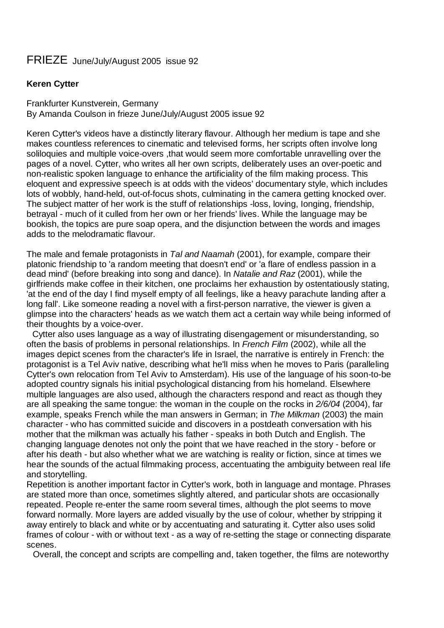## FRIEZE June/July/August 2005 issue 92

## **Keren Cytter**

Frankfurter Kunstverein, Germany By Amanda Coulson in frieze June/July/August 2005 issue 92

Keren Cytter's videos have a distinctly literary flavour. Although her medium is tape and she makes countless references to cinematic and televised forms, her scripts often involve long soliloquies and multiple voice-overs ,that would seem more comfortable unravelling over the pages of a novel. Cytter, who writes all her own scripts, deliberately uses an over-poetic and non-realistic spoken language to enhance the artificiality of the film making process. This eloquent and expressive speech is at odds with the videos' documentary style, which includes lots of wobbly, hand-held, out-of-focus shots, culminating in the camera getting knocked over. The subject matter of her work is the stuff of relationships -loss, loving, Ionging, friendship, betrayal - much of it culled from her own or her friends' lives. While the language may be bookish, the topics are pure soap opera, and the disjunction between the words and images adds to the melodramatic flavour.

The male and female protagonists in *Tal and Naamah* (2001), for example, compare their platonic friendship to 'a random meeting that doesn't end' or 'a flare of endless passion in a dead mind' (before breaking into song and dance). In *Natalie and Raz* (2001), while the girlfriends make coffee in their kitchen, one proclaims her exhaustion by ostentatiously stating, 'at the end of the day I find myself empty of all feelings, like a heavy parachute landing after a long fall'. Like someone reading a novel with a first-person narrative, the viewer is given a glimpse into the characters' heads as we watch them act a certain way while being informed of their thoughts by a voice-over.

Cytter also uses language as a way of illustrating disengagement or misunderstanding, so often the basis of problems in personal relationships. In *French Film* (2002), while all the images depict scenes from the character's life in Israel, the narrative is entirely in French: the protagonist is a Tel Aviv native, describing what he'lI miss when he moves to Paris (paralleling Cytter's own relocation from Tel Aviv to Amsterdam). His use of the language of his soon-to-be adopted country signals his initial psychological distancing from his homeland. Elsewhere multiple languages are also used, although the characters respond and react as though they are all speaking the same tongue: the woman in the couple on the rocks in *2/6/04* (2004), far example, speaks French while the man answers in German; in *The Milkman* (2003) the main character - who has committed suicide and discovers in a postdeath conversation with his mother that the milkman was actually his father - speaks in both Dutch and English. The changing language denotes not only the point that we have reached in the story - before or after his death - but also whether what we are watching is reality or fiction, since at times we hear the sounds of the actual filmmaking process, accentuating the ambiguity between real Iife and storytelling.

Repetition is another important factor in Cytter's work, both in language and montage. Phrases are stated more than once, sometimes slightly altered, and particular shots are occasionally repeated. People re-enter the same room several times, although the plot seems to move forward normally. More layers are added visually by the use of colour, whether by stripping it away entirely to black and white or by accentuating and saturating it. Cytter also uses solid frames of colour - with or without text - as a way of re-setting the stage or connecting disparate scenes.

Overall, the concept and scripts are compelling and, taken together, the films are noteworthy